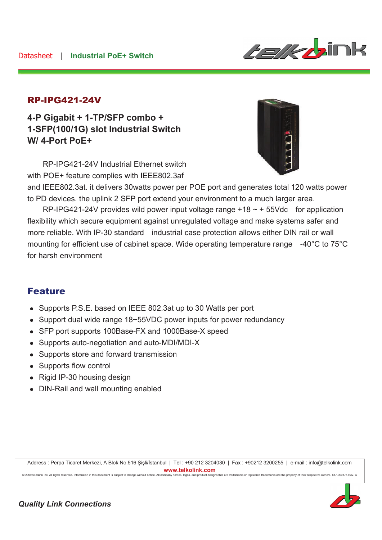

#### RP-IPG421-24V

**4-P Gigabit + 1-TP/SFP combo + 1-SFP(100/1G) slot Industrial Switch W/ 4-Port PoE+** 

RP-IPG421-24V Industrial Ethernet switch with POE+ feature complies with IEEE802.3af



and IEEE802.3at. it delivers 30watts power per POE port and generates total 120 watts power to PD devices. the uplink 2 SFP port extend your environment to a much larger area.

RP-IPG421-24V provides wild power input voltage range  $+18 \sim +55$ Vdc for application flexibility which secure equipment against unregulated voltage and make systems safer and more reliable. With IP-30 standard industrial case protection allows either DIN rail or wall mounting for efficient use of cabinet space. Wide operating temperature range -40°C to 75°C for harsh environment

### Feature

- Supports P.S.E. based on IEEE 802.3at up to 30 Watts per port
- Support dual wide range 18~55VDC power inputs for power redundancy
- SFP port supports 100Base-FX and 1000Base-X speed
- Supports auto-negotiation and auto-MDI/MDI-X
- Supports store and forward transmission
- Supports flow control
- $\bullet$  Rigid IP-30 housing design
- DIN-Rail and wall mounting enabled

Address : Perpa Ticaret Merkezi, A Blok No.516 Şişli/İstanbul | Tel : +90 212 3204030 | Fax : +90212 3200255 | e-mail : info@telkolink.com  $www.telkolink.com$ © 2009 te Icolink Inc. All rights re se rve d. Information in this docume nt is subje ct to change without notice. All company name s, logos, and product de isigns that are trademarks or registered trademarks are the property of their respective owne rs. 617-000175 Re v. C

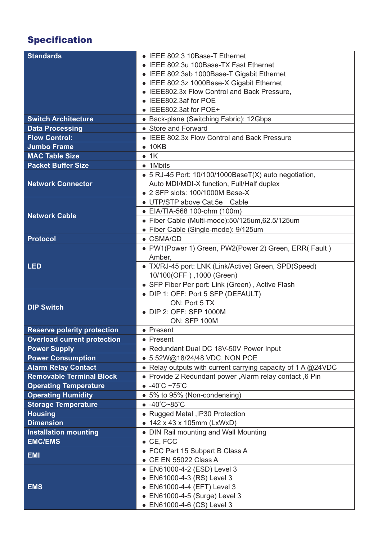# Specification

| <b>Standards</b>                   | • IEEE 802.3 10Base-T Ethernet                               |
|------------------------------------|--------------------------------------------------------------|
|                                    | • IEEE 802.3u 100Base-TX Fast Ethernet                       |
|                                    | • IEEE 802.3ab 1000Base-T Gigabit Ethernet                   |
|                                    | • IEEE 802.3z 1000Base-X Gigabit Ethernet                    |
|                                    | • IEEE802.3x Flow Control and Back Pressure,                 |
|                                    | • IEEE802.3af for POE                                        |
|                                    | • IEEE802.3at for POE+                                       |
| <b>Switch Architecture</b>         | • Back-plane (Switching Fabric): 12Gbps                      |
| <b>Data Processing</b>             | • Store and Forward                                          |
| <b>Flow Control:</b>               | • IEEE 802.3x Flow Control and Back Pressure                 |
| <b>Jumbo Frame</b>                 | $\bullet$ 10KB                                               |
| <b>MAC Table Size</b>              | $\bullet$ 1K                                                 |
| <b>Packet Buffer Size</b>          | • 1Mbits                                                     |
|                                    | • 5 RJ-45 Port: 10/100/1000BaseT(X) auto negotiation,        |
| <b>Network Connector</b>           | Auto MDI/MDI-X function, Full/Half duplex                    |
|                                    | • 2 SFP slots: 100/1000M Base-X                              |
|                                    | • UTP/STP above Cat.5e Cable                                 |
| <b>Network Cable</b>               | • EIA/TIA-568 100-ohm (100m)                                 |
|                                    | · Fiber Cable (Multi-mode):50/125um,62.5/125um               |
|                                    | • Fiber Cable (Single-mode): 9/125um                         |
| <b>Protocol</b>                    | $\bullet$ CSMA/CD                                            |
|                                    | • PW1(Power 1) Green, PW2(Power 2) Green, ERR( Fault)        |
|                                    | Amber,                                                       |
| <b>LED</b>                         | • TX/RJ-45 port: LNK (Link/Active) Green, SPD(Speed)         |
|                                    | 10/100(OFF), 1000 (Green)                                    |
|                                    | • SFP Fiber Per port: Link (Green), Active Flash             |
| <b>DIP Switch</b>                  | • DIP 1: OFF: Port 5 SFP (DEFAULT)                           |
|                                    | ON: Port 5 TX                                                |
|                                    | • DIP 2: OFF: SFP 1000M                                      |
|                                    | <b>ON: SFP 100M</b>                                          |
| <b>Reserve polarity protection</b> | • Present                                                    |
| <b>Overload current protection</b> | • Present                                                    |
| <b>Power Supply</b>                | • Redundant Dual DC 18V-50V Power Input                      |
| <b>Power Consumption</b>           | ● 5.52W@18/24/48 VDC, NON POE                                |
| <b>Alarm Relay Contact</b>         | • Relay outputs with current carrying capacity of 1 A @24VDC |
| <b>Removable Terminal Block</b>    | • Provide 2 Redundant power, Alarm relay contact, 6 Pin      |
| <b>Operating Temperature</b>       | $-40^{\circ}$ C ~75 $^{\circ}$ C                             |
| <b>Operating Humidity</b>          | • 5% to 95% (Non-condensing)                                 |
| <b>Storage Temperature</b>         | $-40^{\circ}C - 85^{\circ}C$                                 |
| <b>Housing</b>                     | • Rugged Metal , IP30 Protection                             |
| <b>Dimension</b>                   | • 142 x 43 x 105mm (LxWxD)                                   |
| <b>Installation mounting</b>       | • DIN Rail mounting and Wall Mounting                        |
| <b>EMC/EMS</b>                     | $\bullet$ CE, FCC                                            |
| <b>EMI</b>                         | • FCC Part 15 Subpart B Class A                              |
|                                    | $\bullet$ CE EN 55022 Class A                                |
|                                    | • EN61000-4-2 (ESD) Level 3                                  |
|                                    | • EN61000-4-3 (RS) Level 3                                   |
| <b>EMS</b>                         | • EN61000-4-4 (EFT) Level 3                                  |
|                                    | • EN61000-4-5 (Surge) Level 3                                |
|                                    | • EN61000-4-6 (CS) Level 3                                   |